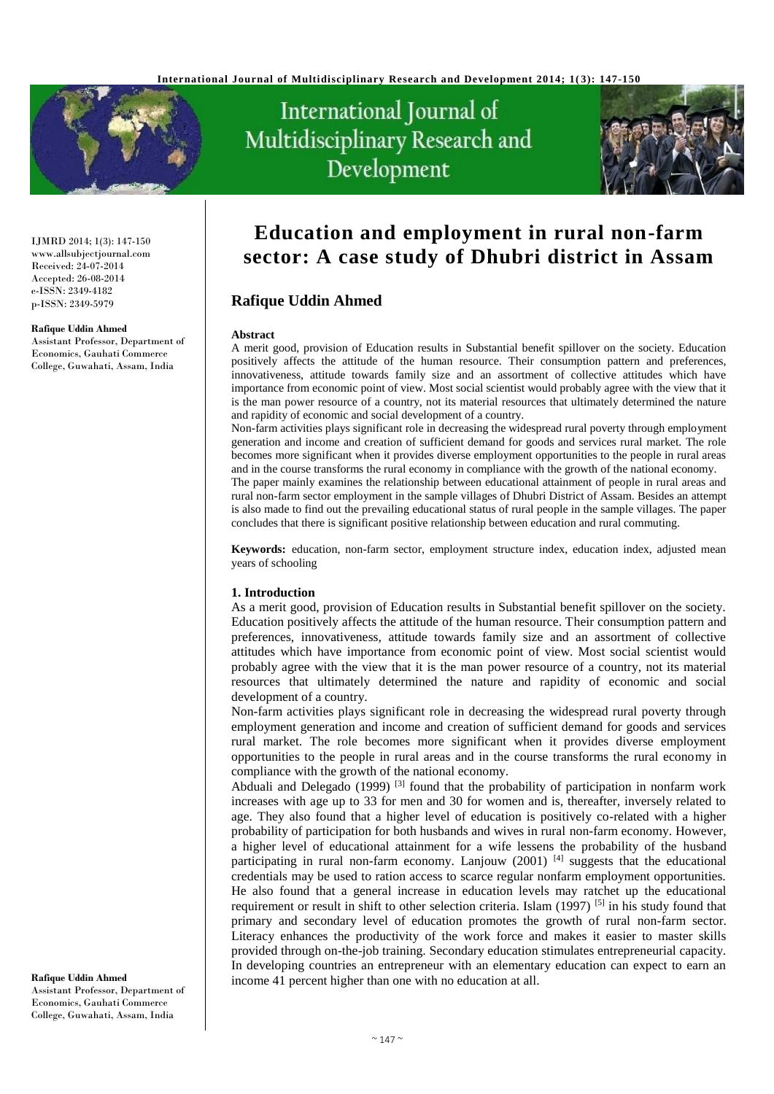

# International Journal of Multidisciplinary Research and Development



IJMRD 2014; 1(3): 147-150 www.allsubjectjournal.com Received: 24-07-2014 Accepted: 26-08-2014 e-ISSN: 2349-4182 p-ISSN: 2349-5979

#### **Rafique Uddin Ahmed**

Assistant Professor, Department of Economics, Gauhati Commerce College, Guwahati, Assam, India

**Education and employment in rural non-farm sector: A case study of Dhubri district in Assam**

# **Rafique Uddin Ahmed**

#### **Abstract**

A merit good, provision of Education results in Substantial benefit spillover on the society. Education positively affects the attitude of the human resource. Their consumption pattern and preferences, innovativeness, attitude towards family size and an assortment of collective attitudes which have importance from economic point of view. Most social scientist would probably agree with the view that it is the man power resource of a country, not its material resources that ultimately determined the nature and rapidity of economic and social development of a country.

Non-farm activities plays significant role in decreasing the widespread rural poverty through employment generation and income and creation of sufficient demand for goods and services rural market. The role becomes more significant when it provides diverse employment opportunities to the people in rural areas and in the course transforms the rural economy in compliance with the growth of the national economy.

The paper mainly examines the relationship between educational attainment of people in rural areas and rural non-farm sector employment in the sample villages of Dhubri District of Assam. Besides an attempt is also made to find out the prevailing educational status of rural people in the sample villages. The paper concludes that there is significant positive relationship between education and rural commuting.

**Keywords:** education, non-farm sector, employment structure index, education index, adjusted mean years of schooling

## **1. Introduction**

As a merit good, provision of Education results in Substantial benefit spillover on the society. Education positively affects the attitude of the human resource. Their consumption pattern and preferences, innovativeness, attitude towards family size and an assortment of collective attitudes which have importance from economic point of view. Most social scientist would probably agree with the view that it is the man power resource of a country, not its material resources that ultimately determined the nature and rapidity of economic and social development of a country.

Non-farm activities plays significant role in decreasing the widespread rural poverty through employment generation and income and creation of sufficient demand for goods and services rural market. The role becomes more significant when it provides diverse employment opportunities to the people in rural areas and in the course transforms the rural economy in compliance with the growth of the national economy.

Abduali and Delegado (1999)<sup>[3]</sup> found that the probability of participation in nonfarm work increases with age up to 33 for men and 30 for women and is, thereafter, inversely related to age. They also found that a higher level of education is positively co-related with a higher probability of participation for both husbands and wives in rural non-farm economy. However, a higher level of educational attainment for a wife lessens the probability of the husband participating in rural non-farm economy. Lanjouw  $(2001)^{[4]}$  suggests that the educational credentials may be used to ration access to scarce regular nonfarm employment opportunities. He also found that a general increase in education levels may ratchet up the educational requirement or result in shift to other selection criteria. Islam (1997) <sup>[5]</sup> in his study found that primary and secondary level of education promotes the growth of rural non-farm sector. Literacy enhances the productivity of the work force and makes it easier to master skills provided through on-the-job training. Secondary education stimulates entrepreneurial capacity. In developing countries an entrepreneur with an elementary education can expect to earn an income 41 percent higher than one with no education at all.

**Rafique Uddin Ahmed** Assistant Professor, Department of Economics, Gauhati Commerce College, Guwahati, Assam, India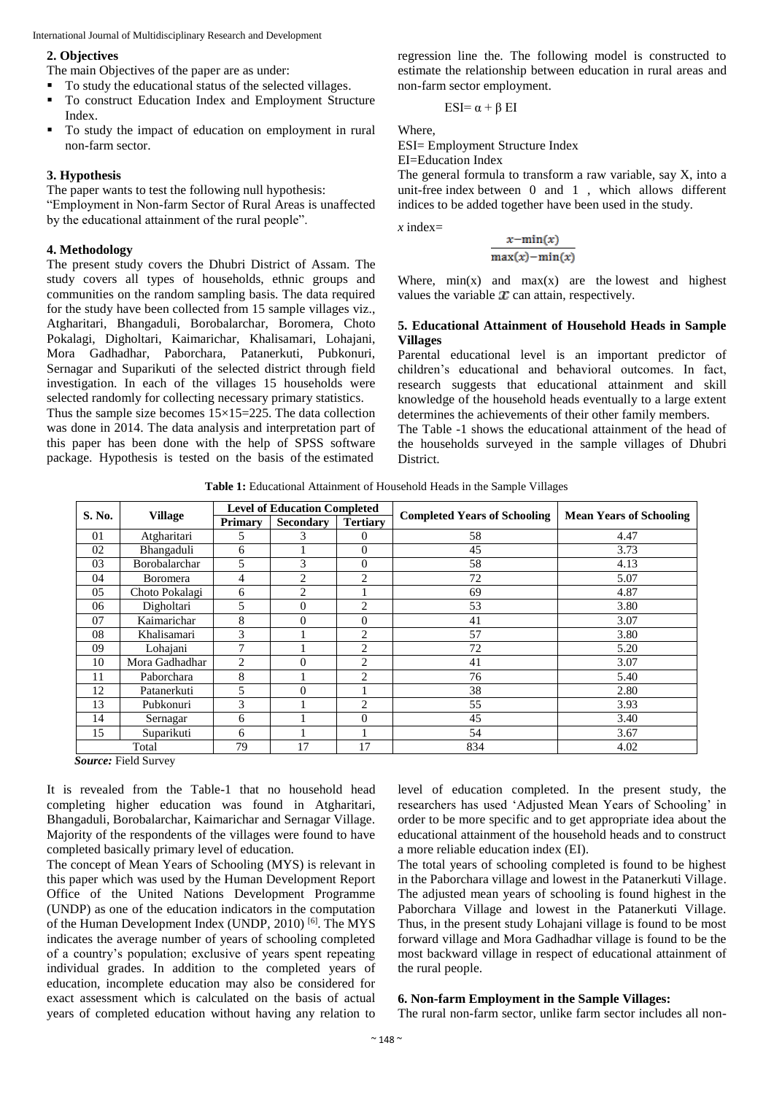International Journal of Multidisciplinary Research and Development

#### **2. Objectives**

The main Objectives of the paper are as under:

- To study the educational status of the selected villages.
- To construct Education Index and Employment Structure Index.
- To study the impact of education on employment in rural non-farm sector.

## **3. Hypothesis**

The paper wants to test the following null hypothesis: "Employment in Non-farm Sector of Rural Areas is unaffected

by the educational attainment of the rural people".

## **4. Methodology**

The present study covers the Dhubri District of Assam. The study covers all types of households, ethnic groups and communities on the random sampling basis. The data required for the study have been collected from 15 sample villages viz., Atgharitari, Bhangaduli, Borobalarchar, Boromera, Choto Pokalagi, Digholtari, Kaimarichar, Khalisamari, Lohajani, Mora Gadhadhar, Paborchara, Patanerkuti, Pubkonuri, Sernagar and Suparikuti of the selected district through field investigation. In each of the villages 15 households were selected randomly for collecting necessary primary statistics.

Thus the sample size becomes  $15\times15=225$ . The data collection was done in 2014. The data analysis and interpretation part of this paper has been done with the help of SPSS software package. Hypothesis is tested on the basis of the estimated regression line the. The following model is constructed to estimate the relationship between education in rural areas and non-farm sector employment.

ESI=  $\alpha + \beta$  EI

Where,

ESI= Employment Structure Index

EI=Education Index

The general formula to transform a raw variable, say X, into a unit-free index between 0 and 1 , which allows different indices to be added together have been used in the study.

*x* index=

$$
\frac{x - \min(x)}{\max(x) - \min(x)}
$$

Where,  $min(x)$  and  $max(x)$  are the lowest and highest values the variable  $x$  can attain, respectively.

## **5. Educational Attainment of Household Heads in Sample Villages**

Parental educational level is an important predictor of children's educational and behavioral outcomes. In fact, research suggests that educational attainment and skill knowledge of the household heads eventually to a large extent determines the achievements of their other family members.

The Table -1 shows the educational attainment of the head of the households surveyed in the sample villages of Dhubri District.

**Table 1:** Educational Attainment of Household Heads in the Sample Villages

| S. No. |                 | <b>Level of Education Completed</b> |                  |                 | <b>Completed Years of Schooling</b> |                                |  |  |
|--------|-----------------|-------------------------------------|------------------|-----------------|-------------------------------------|--------------------------------|--|--|
|        | <b>Village</b>  | <b>Primary</b>                      | <b>Secondary</b> | <b>Tertiary</b> |                                     | <b>Mean Years of Schooling</b> |  |  |
| 01     | Atgharitari     | 5                                   | 3                | $\Omega$        | 58                                  | 4.47                           |  |  |
| 02     | Bhangaduli      | 6                                   |                  | $\overline{0}$  | 45                                  | 3.73                           |  |  |
| 03     | Borobalarchar   | $\overline{5}$                      | 3                | $\theta$        | 58                                  | 4.13                           |  |  |
| 04     | <b>Boromera</b> | 4                                   | $\mathfrak{D}$   | $\overline{c}$  | 72                                  | 5.07                           |  |  |
| 05     | Choto Pokalagi  | 6                                   | $\overline{c}$   |                 | 69                                  | 4.87                           |  |  |
| 06     | Digholtari      | 5                                   | 0                | $\overline{c}$  | 53                                  | 3.80                           |  |  |
| 07     | Kaimarichar     | 8                                   | 0                | $\theta$        | 41                                  | 3.07                           |  |  |
| 08     | Khalisamari     | 3                                   |                  | $\overline{2}$  | 57                                  | 3.80                           |  |  |
| 09     | Lohajani        | 7                                   |                  | $\overline{2}$  | 72                                  | 5.20                           |  |  |
| 10     | Mora Gadhadhar  | 2                                   | $\Omega$         | $\overline{c}$  | 41                                  | 3.07                           |  |  |
| 11     | Paborchara      | 8                                   |                  | $\overline{2}$  | 76                                  | 5.40                           |  |  |
| 12     | Patanerkuti     | 5                                   | 0                |                 | 38                                  | 2.80                           |  |  |
| 13     | Pubkonuri       | 3                                   |                  | $\overline{c}$  | 55                                  | 3.93                           |  |  |
| 14     | Sernagar        | 6                                   |                  | $\theta$        | 45                                  | 3.40                           |  |  |
| 15     | Suparikuti      | 6                                   |                  |                 | 54                                  | 3.67                           |  |  |
| Total  |                 | 79                                  | 17               | 17              | 834                                 | 4.02                           |  |  |

*Source:* Field Survey

It is revealed from the Table-1 that no household head completing higher education was found in Atgharitari, Bhangaduli, Borobalarchar, Kaimarichar and Sernagar Village. Majority of the respondents of the villages were found to have completed basically primary level of education.

The concept of Mean Years of Schooling (MYS) is relevant in this paper which was used by the Human Development Report Office of the United Nations Development Programme (UNDP) as one of the education indicators in the computation of the Human Development Index (UNDP, 2010) [6]. The MYS indicates the average number of years of schooling completed of a country's population; exclusive of years spent repeating individual grades. In addition to the completed years of education, incomplete education may also be considered for exact assessment which is calculated on the basis of actual years of completed education without having any relation to level of education completed. In the present study, the researchers has used 'Adjusted Mean Years of Schooling' in order to be more specific and to get appropriate idea about the educational attainment of the household heads and to construct a more reliable education index (EI).

The total years of schooling completed is found to be highest in the Paborchara village and lowest in the Patanerkuti Village. The adjusted mean years of schooling is found highest in the Paborchara Village and lowest in the Patanerkuti Village. Thus, in the present study Lohajani village is found to be most forward village and Mora Gadhadhar village is found to be the most backward village in respect of educational attainment of the rural people.

## **6. Non-farm Employment in the Sample Villages:**

The rural non-farm sector, unlike farm sector includes all non-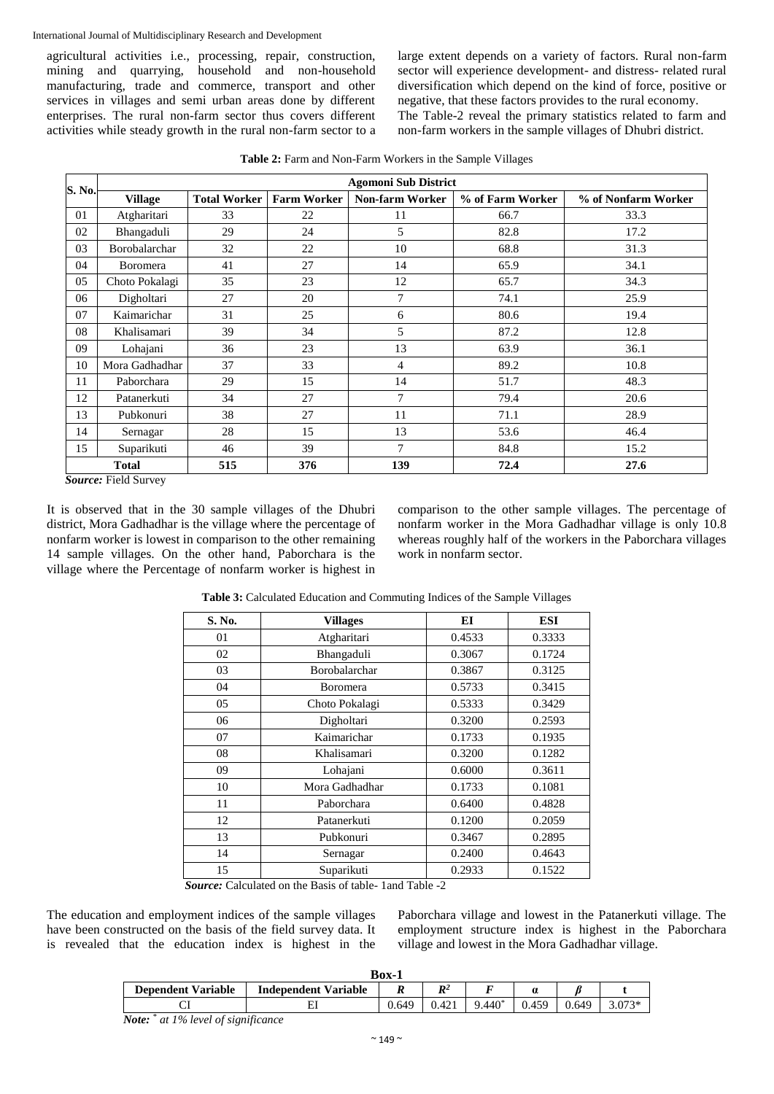International Journal of Multidisciplinary Research and Development

agricultural activities i.e., processing, repair, construction, mining and quarrying, household and non-household manufacturing, trade and commerce, transport and other services in villages and semi urban areas done by different enterprises. The rural non-farm sector thus covers different activities while steady growth in the rural non-farm sector to a large extent depends on a variety of factors. Rural non-farm sector will experience development- and distress- related rural diversification which depend on the kind of force, positive or negative, that these factors provides to the rural economy. The Table-2 reveal the primary statistics related to farm and non-farm workers in the sample villages of Dhubri district.

**Table 2:** Farm and Non-Farm Workers in the Sample Villages

| S. No.       | <b>Agomoni Sub District</b> |                     |                    |                        |                  |                     |  |  |
|--------------|-----------------------------|---------------------|--------------------|------------------------|------------------|---------------------|--|--|
|              | <b>Village</b>              | <b>Total Worker</b> | <b>Farm Worker</b> | <b>Non-farm Worker</b> | % of Farm Worker | % of Nonfarm Worker |  |  |
| 01           | Atgharitari                 | 33                  | 22                 | 11                     | 66.7             | 33.3                |  |  |
| 02           | Bhangaduli                  | 29                  | 24                 | 5                      | 82.8             | 17.2                |  |  |
| 03           | Borobalarchar               | 32                  | 22                 | 10                     | 68.8             | 31.3                |  |  |
| 04           | <b>Boromera</b>             | 41                  | 27                 | 14                     | 65.9             | 34.1                |  |  |
| 05           | Choto Pokalagi              | 35                  | 23                 | 12                     | 65.7             | 34.3                |  |  |
| 06           | Digholtari                  | 27                  | 20                 | 7                      | 74.1             | 25.9                |  |  |
| 07           | Kaimarichar                 | 31                  | 25                 | 6                      | 80.6             | 19.4                |  |  |
| 08           | Khalisamari                 | 39                  | 34                 | 5                      | 87.2             | 12.8                |  |  |
| 09           | Lohajani                    | 36                  | 23                 | 13                     | 63.9             | 36.1                |  |  |
| 10           | Mora Gadhadhar              | 37                  | 33                 | 4                      | 89.2             | 10.8                |  |  |
| 11           | Paborchara                  | 29                  | 15                 | 14                     | 51.7             | 48.3                |  |  |
| 12           | Patanerkuti                 | 34                  | 27                 | 7                      | 79.4             | 20.6                |  |  |
| 13           | Pubkonuri                   | 38                  | 27                 | 11                     | 71.1             | 28.9                |  |  |
| 14           | Sernagar                    | 28                  | 15                 | 13                     | 53.6             | 46.4                |  |  |
| 15           | Suparikuti                  | 46                  | 39                 | 7                      | 84.8             | 15.2                |  |  |
| <b>Total</b> |                             | 515                 | 376                | 139                    | 72.4             | 27.6                |  |  |

*Source:* Field Survey

It is observed that in the 30 sample villages of the Dhubri district, Mora Gadhadhar is the village where the percentage of nonfarm worker is lowest in comparison to the other remaining 14 sample villages. On the other hand, Paborchara is the village where the Percentage of nonfarm worker is highest in comparison to the other sample villages. The percentage of nonfarm worker in the Mora Gadhadhar village is only 10.8 whereas roughly half of the workers in the Paborchara villages work in nonfarm sector.

| S. No. | <b>Villages</b> | EI     | <b>ESI</b> |  |
|--------|-----------------|--------|------------|--|
| 01     | Atgharitari     | 0.4533 | 0.3333     |  |
| 02     | Bhangaduli      | 0.3067 | 0.1724     |  |
| 03     | Borobalarchar   | 0.3867 | 0.3125     |  |
| 04     | <b>Boromera</b> | 0.5733 | 0.3415     |  |
| 05     | Choto Pokalagi  | 0.5333 | 0.3429     |  |
| 06     | Digholtari      | 0.3200 | 0.2593     |  |
| 07     | Kaimarichar     | 0.1733 | 0.1935     |  |
| 08     | Khalisamari     | 0.3200 | 0.1282     |  |
| 09     | Lohajani        | 0.6000 | 0.3611     |  |
| 10     | Mora Gadhadhar  | 0.1733 | 0.1081     |  |
| 11     | Paborchara      | 0.6400 | 0.4828     |  |
| 12     | Patanerkuti     | 0.1200 | 0.2059     |  |
| 13     | Pubkonuri       |        | 0.2895     |  |
| 14     | Sernagar        | 0.2400 | 0.4643     |  |
| 15     | Suparikuti      | 0.2933 | 0.1522     |  |

**Table 3:** Calculated Education and Commuting Indices of the Sample Villages

*Source:* Calculated on the Basis of table- 1and Table -2

The education and employment indices of the sample villages have been constructed on the basis of the field survey data. It is revealed that the education index is highest in the Paborchara village and lowest in the Patanerkuti village. The employment structure index is highest in the Paborchara village and lowest in the Mora Gadhadhar village.

| Box-1                                      |                             |       |                |          |       |       |          |  |
|--------------------------------------------|-----------------------------|-------|----------------|----------|-------|-------|----------|--|
| <b>Dependent Variable</b>                  | <b>Independent Variable</b> |       | $\mathbb{R}^2$ |          |       |       |          |  |
|                                            |                             | 0.649 | 0.421          | $9.440*$ | 0.459 | 0.649 | $3.073*$ |  |
| <b>Note:</b> * at 1% level of significance |                             |       |                |          |       |       |          |  |

 $\sim$  149  $\sim$